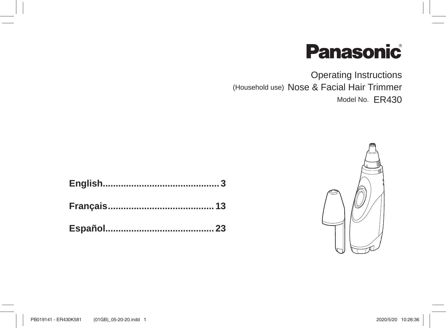# **Panasonic**

**Operating Instructions** (Household use) Nose & Facial Hair Trimmer Model No. ER430

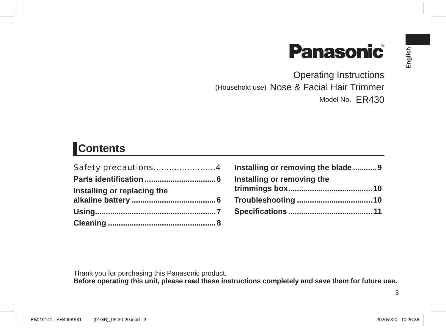# **Panasonic**

Operating Instructions (Household use) Nose & Facial Hair Trimmer Model No. ER430

## **Contents**

| Safety precautions4         |  |
|-----------------------------|--|
|                             |  |
| Installing or replacing the |  |
|                             |  |
|                             |  |

| Installing or removing the blade  9 |  |
|-------------------------------------|--|
| Installing or removing the          |  |
|                                     |  |
|                                     |  |
|                                     |  |

Thank you for purchasing this Panasonic product.

**Before operating this unit, please read these instructions completely and save them for future use.**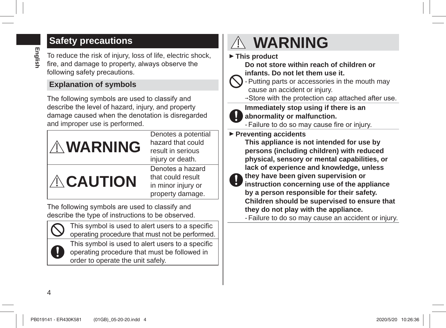# **English**

### **Safety precautions**

To reduce the risk of injury, loss of life, electric shock, fire, and damage to property, always observe the following safety precautions.

#### **Explanation of symbols**

The following symbols are used to classify and describe the level of hazard, injury, and property damage caused when the denotation is disregarded and improper use is performed.



The following symbols are used to classify and describe the type of instructions to be observed.



This symbol is used to alert users to a specific operating procedure that must not be performed.



This symbol is used to alert users to a specific operating procedure that must be followed in order to operate the unit safely.

## **WARNING**

 **This product**

**Do not store within reach of children or infants. Do not let them use it.**

- Putting parts or accessories in the mouth may cause an accident or injury.

- $\rightarrow$ Store with the protection cap attached after use.
- **Immediately stop using if there is an**
- **abnormality or malfunction.**
	- Failure to do so may cause fire or injury.
- **Preventing accidents**

**This appliance is not intended for use by persons (including children) with reduced physical, sensory or mental capabilities, or lack of experience and knowledge, unless** 

**they have been given supervision or instruction concerning use of the appliance by a person responsible for their safety.**

**Children should be supervised to ensure that they do not play with the appliance.**

- Failure to do so may cause an accident or injury.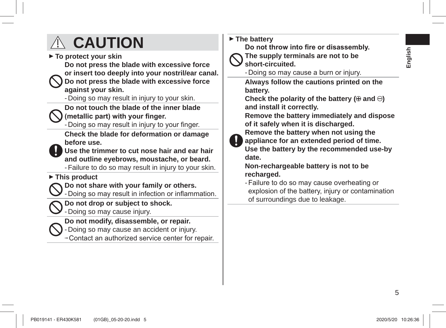# **English**

## **CAUTION**

 **To protect your skin**

**Do not press the blade with excessive force** 

**or insert too deeply into your nostril/ear canal.**

**Do not press the blade with excessive force against your skin.**

- Doing so may result in injury to your skin.

**Do not touch the blade of the inner blade** 

(metallic part) with your finger.

- Doing so may result in injury to your finger.

**Check the blade for deformation or damage before use.**

**Use the trimmer to cut nose hair and ear hair and outline eyebrows, moustache, or beard.** - Failure to do so may result in injury to your skin.

#### **This product**

**Do not share with your family or others.**

- Doing so may result in infection or inflammation.

**Do not drop or subject to shock.**

- Doing so may cause injury.

**Do not modify, disassemble, or repair.**

- Doing so may cause an accident or injury.

 $\rightarrow$  Contact an authorized service center for repair.

 **The battery**

Do not throw into fire or disassembly.

**The supply terminals are not to be short-circuited.**

- Doing so may cause a burn or injury.

**Always follow the cautions printed on the battery.**

Check the polarity of the battery  $(\oplus$  and  $\ominus)$ **and install it correctly.**

**Remove the battery immediately and dispose of it safely when it is discharged.**

**Remove the battery when not using the** 

**appliance for an extended period of time. Use the battery by the recommended use-by date.**

**Non-rechargeable battery is not to be recharged.**

- Failure to do so may cause overheating or explosion of the battery, injury or contamination of surroundings due to leakage.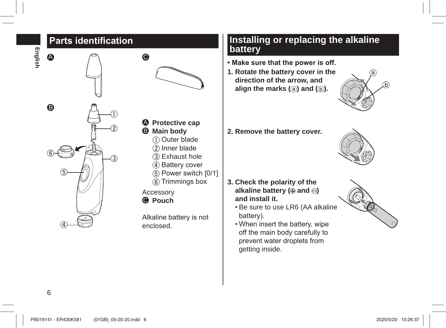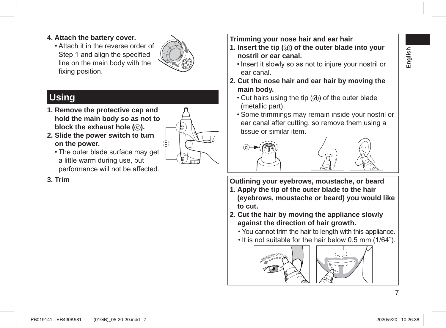- **4. Attach the battery cover.**
	- . Attach it in the reverse order of Step 1 and align the specified line on the main body with the fixing position.



 $\circled{c}$ 

## **Using**

- **1. Remove the protective cap and hold the main body so as not to block the exhaust hole (** $\circ$ **).**
- **2. Slide the power switch to turn on the power.**
	- The outer blade surface may get a little warm during use, but performance will not be affected.

**3. Trim**

- **Trimming your nose hair and ear hair**
- **1. Insert the tip ( ) of the outer blade into your nostril or ear canal.** 
	- Insert it slowly so as not to iniure your nostril or ear canal.
- **2. Cut the nose hair and ear hair by moving the main body.** 
	- $\cdot$  Cut hairs using the tip  $( \widehat{d} )$  of the outer blade (metallic part).
	- Some trimmings may remain inside your nostril or ear canal after cutting, so remove them using a tissue or similar item.





**Outlining your eyebrows, moustache, or beard**

- **1. Apply the tip of the outer blade to the hair (eyebrows, moustache or beard) you would like to cut.**
- **2. Cut the hair by moving the appliance slowly against the direction of hair growth.**
	- . You cannot trim the hair to length with this appliance.
	- $\cdot$  It is not suitable for the hair below 0.5 mm (1/64").

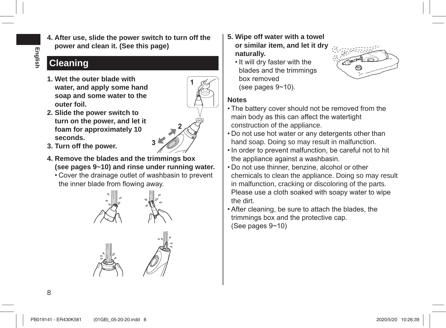- **English**
- **4. After use, slide the power switch to turn off the power and clean it. (See this page)**

## **Cleaning**

**1. Wet the outer blade with water, and apply some hand soap and some water to the outer foil.**

**2. Slide the power switch to turn on the power, and let it foam for approximately 10** 



- **seconds. 3. Turn off the power. <sup>3</sup>**
- **4. Remove the blades and the trimmings box (see pages 9~10) and rinse under running water.**
	- Cover the drainage outlet of washbasin to prevent the inner blade from flowing away.



- **5. Wipe off water with a towel or similar item, and let it dry naturally.**
	- It will dry faster with the blades and the trimmings hox removed (see pages  $9~10$ ).



#### **Notes**

- The battery cover should not be removed from the main body as this can affect the watertight construction of the appliance.
- . Do not use hot water or any detergents other than hand soap. Doing so may result in malfunction.
- In order to prevent malfunction, be careful not to hit the appliance against a washbasin.
- . Do not use thinner, benzine, alcohol or other chemicals to clean the appliance. Doing so may result in malfunction, cracking or discoloring of the parts. Please use a cloth soaked with soapy water to wipe the dirt.
- . After cleaning, be sure to attach the blades, the trimmings box and the protective cap. (See pages  $9-10$ )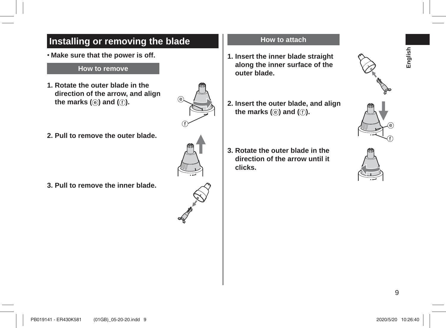## **Installing or removing the blade Make sure that the power is off.**

#### **How to remove**

- **1. Rotate the outer blade in the direction of the arrow, and align the marks (** $\circledcirc$ **) and (** $\circledcirc$ **).**
- **2. Pull to remove the outer blade.**

**3. Pull to remove the inner blade.**



#### **How to attach**

- **1. Insert the inner blade straight along the inner surface of the outer blade.**
- **2. Insert the outer blade, and align the marks (** $\circledcirc$ **) and (** $\circledcirc$ **).**
- **3. Rotate the outer blade in the direction of the arrow until it clicks.**



**English**



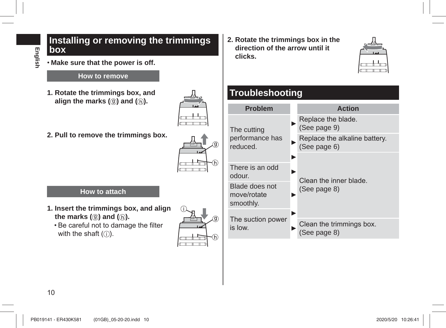#### **Installing or removing the trimmings box**

**Make sure that the power is off.**

#### **How to remove**

**1. Rotate the trimmings box, and**  align the marks  $(\circledcirc)$  and  $(\circledcirc)$ .



**2. Pull to remove the trimmings box.**



#### **How to attach**

- **1. Insert the trimmings box, and align the marks (()** and ( $\oplus$ ).
	- Be careful not to damage the filter with the shaft  $($ i)).



**2. Rotate the trimmings box in the direction of the arrow until it clicks.**



## **Troubleshooting**

| <b>Problem</b>                             |   | <b>Action</b>                                 |
|--------------------------------------------|---|-----------------------------------------------|
| The cutting<br>performance has<br>reduced. |   | Replace the blade.<br>(See page 9)            |
|                                            |   | Replace the alkaline battery.<br>(See page 6) |
|                                            |   |                                               |
| There is an odd<br>odour.                  |   | Clean the inner blade.                        |
| Blade does not<br>move/rotate<br>smoothly. |   | (See page 8)                                  |
|                                            | ь |                                               |
| The suction power<br>is low.               |   | Clean the trimmings box.<br>(See page 8)      |
|                                            |   |                                               |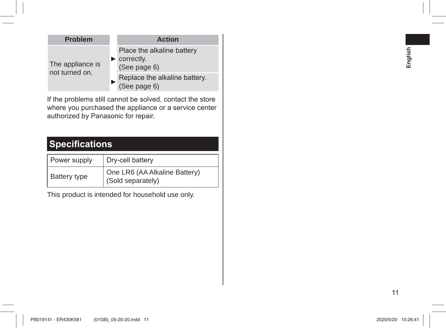| <b>Problem</b>                     | <b>Action</b>                                                                  |
|------------------------------------|--------------------------------------------------------------------------------|
| The appliance is<br>not turned on. | Place the alkaline battery<br>$\blacktriangleright$ correctly.<br>(See page 6) |
|                                    | Replace the alkaline battery.<br>(See page 6)                                  |

If the problems still cannot be solved, contact the store where you purchased the appliance or a service center authorized by Panasonic for repair.

## **Specifications**

| Power supply        | Dry-cell battery                                   |  |  |
|---------------------|----------------------------------------------------|--|--|
| <b>Battery type</b> | One LR6 (AA Alkaline Battery)<br>(Sold separately) |  |  |

This product is intended for household use only.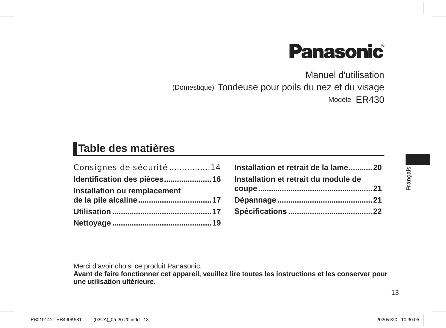# **Panasonic**

Manuel d'utilisation (Domestique) Tondeuse pour poils du nez et du visage Modèle ER430

## **Table des matières**

| Consignes de sécurité 14     |  |
|------------------------------|--|
| Identification des pièces 16 |  |
| Installation ou remplacement |  |
|                              |  |
|                              |  |
|                              |  |

| Installation et retrait de la lame20 |  |
|--------------------------------------|--|
| Installation et retrait du module de |  |
|                                      |  |
|                                      |  |
|                                      |  |

**Français**

Merci d'avoir choisi ce produit Panasonic.

**Avant de faire fonctionner cet appareil, veuillez lire toutes les instructions et les conserver pour une utilisation ultérieure.**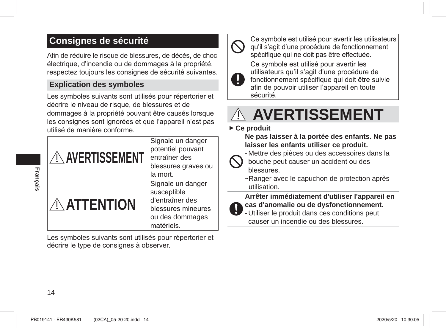## **Consignes de sécurité**

Afin de réduire le risque de blessures, de décès, de choc électrique, d'incendie ou de dommages à la propriété, respectez toujours les consignes de sécurité suivantes.

#### **Explication des symboles**

Les symboles suivants sont utilisés pour répertorier et décrire le niveau de risque, de blessures et de dommages à la propriété pouvant être causés lorsque les consignes sont ignorées et que l'appareil n'est pas utilisé de manière conforme



Les symboles suivants sont utilisés pour répertorier et décrire le type de consignes à observer.



Ce symbole est utilisé pour avertir les utilisateurs qu'il s'agit d'une procédure de fonctionnement spécifique qui ne doit pas être effectuée.

Ce symbole est utilisé pour avertir les utilisateurs qu'il s'agit d'une procédure de IJ fonctionnement spécifique qui doit être suivie afin de pouvoir utiliser l'appareil en toute sécurité.



#### **Ce produit**

**Ne pas laisser à la portée des enfants. Ne pas laisser les enfants utiliser ce produit.**

- Mettre des pièces ou des accessoires dans la

bouche peut causer un accident ou des hlessures

 $\rightarrow$ Ranger avec le capuchon de protection après utilisation.

#### **Arrêter immédiatement d'utiliser l'appareil en cas d'anomalie ou de dysfonctionnement.**

- Utiliser le produit dans ces conditions peut causer un incendie ou des blessures.

**Français**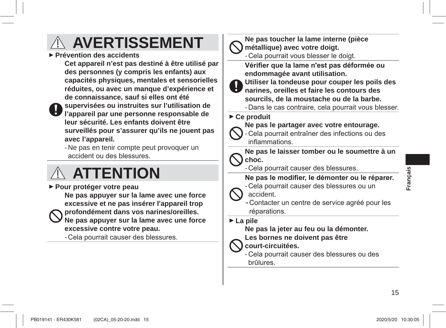## **AVERTISSEMENT**

 **Prévention des accidents**

**Cet appareil n'est pas destiné à être utilisé par des personnes (y compris les enfants) aux capacités physiques, mentales et sensorielles réduites, ou avec un manque d'expérience et de connaissance, sauf si elles ont été** 

**supervisées ou instruites sur l'utilisation de l'appareil par une personne responsable de leur sécurité. Les enfants doivent être surveillés pour s'assurer qu'ils ne jouent pas avec l'appareil.**

- Ne pas en tenir compte peut provoquer un accident ou des blessures.

## **ATTENTION**

 **Pour protéger votre peau Ne pas appuyer sur la lame avec une force excessive et ne pas insérer l'appareil trop profondément dans vos narines/oreilles. Ne pas appuyer sur la lame avec une force excessive contre votre peau.**

- Cela pourrait causer des blessures.

**Ne pas toucher la lame interne (pièce métallique) avec votre doigt.**

- Cela pourrait vous blesser le doigt.

Vérifier que la lame n'est pas déformée ou **endommagée avant utilisation.**

**Utiliser la tondeuse pour couper les poils des narines, oreilles et faire les contours des sourcils, de la moustache ou de la barbe.**

- Dans le cas contraire, cela pourrait vous blesser.

#### **Ce produit**



**Ne pas le partager avec votre entourage.**

Cela pourrait entraîner des infections ou des inflammations.

**Ne pas le laisser tomber ou le soumettre à un choc.**

- Cela pourrait causer des blessures.

#### Ne pas le modifier, le démonter ou le réparer.

- Cela pourrait causer des blessures ou un

accident.

-Contacter un centre de service agréé pour les réparations.

 **La pile**

**Ne pas la jeter au feu ou la démonter.**

**Les bornes ne doivent pas être** 

**court-circuitées.**

- Cela pourrait causer des blessures ou des brûlures.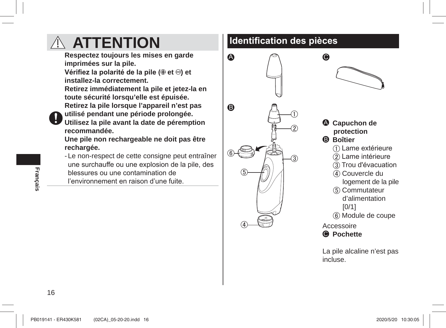

l'environnement en raison d'une fuite



**4** Capuchon de protection **B** Boîtier 1 ame extérieure 2 Lame intérieure 3) Trou d'évacuation

**Contract Contract Contract Contract Contract Contract Contract Contract Contract Contract Contract Contract Co** 

 $\bullet$ 

- 4) Couvercle du logement de la pile
- (5) Commutateur d'alimentation  $[0/1]$
- 6 Module de coupe

Accessoire

**O** Pochette

La pile alcaline n'est pas incluse.

**Français**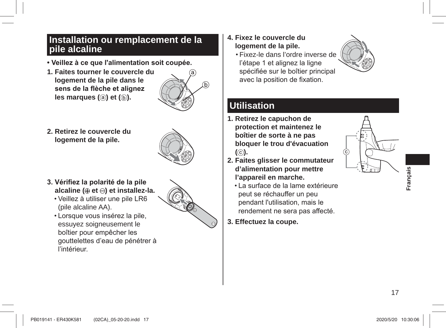#### **Installation ou remplacement de la pile alcaline**

- **Veillez à ce que l'alimentation soit coupée.**
- **1. Faites tourner le couvercle du logement de la pile dans le**  sens de la flèche et alignez **les marques (a) et (b).**



**2. Retirez le couvercle du logement de la pile.**



- **3. Vérifiez la polarité de la pile alcaline (⊕ et ⊖) et installez-la.** 
	- Veillez à utiliser une pile LR6 (pile alcaline AA).
	- Lorsque vous insérez la pile, essuyez soigneusement le boîtier pour empêcher les gouttelettes d'eau de pénétrer à l'intérieur



- **4. Fixez le couvercle du logement de la pile.**
	- Fixez-le dans l'ordre inverse de l'étape 1 et alignez la ligne spécifiée sur le boîtier principal avec la position de fixation.

## **Utilisation**

- **1. Retirez le capuchon de protection et maintenez le boîtier de sorte à ne pas bloquer le trou d'évacuation**   $($  $\odot$ ).
- **2. Faites glisser le commutateur d'alimentation pour mettre l'appareil en marche.**
	- La surface de la lame extérieure peut se réchauffer un peu pendant l'utilisation, mais le rendement ne sera pas affecté.
- **3. Effectuez la coupe.**



**Français**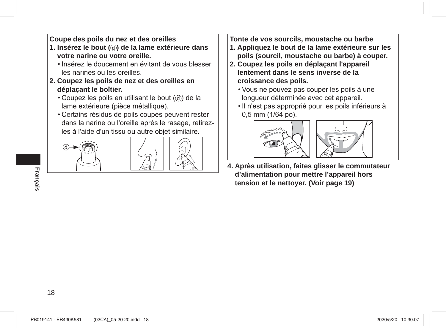**Coupe des poils du nez et des oreilles**

- **1. Insérez le bout ( ) de la lame extérieure dans votre narine ou votre oreille.** 
	- . Insérez le doucement en évitant de vous blesser les narines ou les oreilles.
- **2. Coupez les poils de nez et des oreilles en déplaçant le boîtier.** 
	- $\cdot$  Coupez les poils en utilisant le bout  $(Q)$  de la lame extérieure (pièce métallique).
	- Certains résidus de poils coupés peuvent rester dans la narine ou l'oreille après le rasage, retirezles à l'aide d'un tissu ou autre objet similaire.





- **Tonte de vos sourcils, moustache ou barbe**
- **1. Appliquez le bout de la lame extérieure sur les poils (sourcil, moustache ou barbe) à couper.**
- **2. Coupez les poils en déplaçant l'appareil lentement dans le sens inverse de la croissance des poils.**
	- Vous ne pouvez pas couper les poils à une lonqueur déterminée avec cet appareil.
	- Il n'est pas approprié pour les poils inférieurs à 0,5 mm (1/64 po).





**4. Après utilisation, faites glisser le commutateur d'alimentation pour mettre l'appareil hors tension et le nettoyer. (Voir page 19)**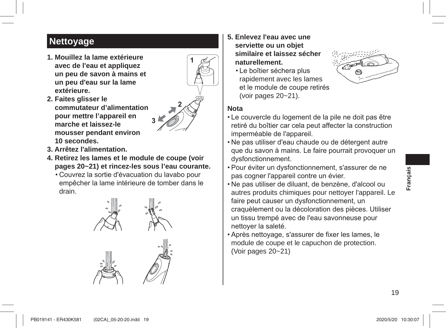## **Nettoyage**

**1. Mouillez la lame extérieure avec de l'eau et appliquez un peu de savon à mains et un peu d'eau sur la lame extérieure.**



- **2. Faites glisser le commutateur d'alimentation pour mettre l'appareil en marche et laissez-le mousser pendant environ 10 secondes.**
- **3. Arrêtez l'alimentation.**
- **4. Retirez les lames et le module de coupe (voir pages 20~21) et rincez-les sous l'eau courante.**

**3**

• Couvrez la sortie d'évacuation du lavabo pour empêcher la lame intérieure de tomber dans le drain.





- **5. Enlevez l'eau avec une serviette ou un objet similaire et laissez sécher naturellement.**
	- Le boîtier séchera plus rapidement avec les lames et le module de coupe retirés (voir pages 20~21).



#### **Nota**

- Le couvercle du logement de la pile ne doit pas être retiré du boîtier car cela peut affecter la construction imperméable de l'appareil.
- Ne pas utiliser d'eau chaude ou de détergent autre que du savon à mains. Le faire pourrait provoquer un dysfonctionnement.
- Pour éviter un dysfonctionnement, s'assurer de ne pas cogner l'appareil contre un évier.
- Ne pas utiliser de diluant, de benzène, d'alcool ou autres produits chimiques pour nettoyer l'appareil. Le faire peut causer un dysfonctionnement, un craquèlement ou la décoloration des pièces. Utiliser un tissu trempé avec de l'eau savonneuse pour nettover la saleté.
- Après nettoyage, s'assurer de fixer les lames, le module de coupe et le capuchon de protection. (Voir pages 20~21)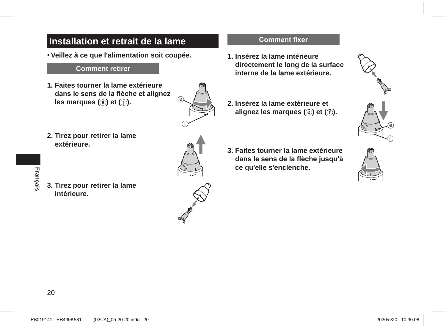### Installation et retrait de la lame

· Veillez à ce que l'alimentation soit coupée.

#### **Comment retirer**

- 1. Faites tourner la lame extérieure dans le sens de la flèche et alignez les marques (e) et (f).
- 2. Tirez pour retirer la lame extérieure.

Français

3. Tirez pour retirer la lame intérieure.



#### **Comment fixer**

- 1. Insérez la lame intérieure directement le long de la surface interne de la lame extérieure.
- 2. Insérez la lame extérieure et alignez les marques (e) et (f).
- 3. Faites tourner la lame extérieure dans le sens de la flèche jusqu'à ce qu'elle s'enclenche.





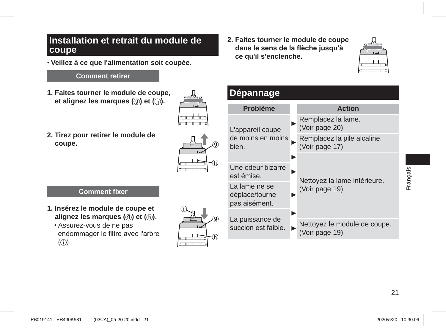#### **Installation et retrait du module de coupe**

**Veillez à ce que l'alimentation soit coupée.**

#### **Comment retirer**

**1. Faites tourner le module de coupe, et alignez les marques ((ii) et (b).** 



**2. Tirez pour retirer le module de coupe.**

| í. |
|----|

#### **Comment fixer**

- **1. Insérez le module de coupe et alignez les marques ((0) et ((h).** 
	- Assurez-vous de ne pas endommager le filtre avec l'arbre  $\circ$ .



**2. Faites tourner le module de coupe**  dans le sens de la flèche jusqu'à **ce qu'il s'enclenche.**



### **Dépannage**

| <b>Problème</b>                                  | <b>Action</b>                                  |  |
|--------------------------------------------------|------------------------------------------------|--|
| L'appareil coupe<br>de moins en moins<br>bien.   | Remplacez la lame.<br>(Voir page 20)           |  |
|                                                  | Remplacez la pile alcaline.<br>(Voir page 17)  |  |
| Une odeur bizarre                                |                                                |  |
| est émise.                                       | Nettoyez la lame intérieure.                   |  |
| La lame ne se<br>déplace/tourne<br>pas aisément. | (Voir page 19)                                 |  |
| La puissance de                                  |                                                |  |
| succion est faible.                              | Nettoyez le module de coupe.<br>(Voir page 19) |  |

**Français**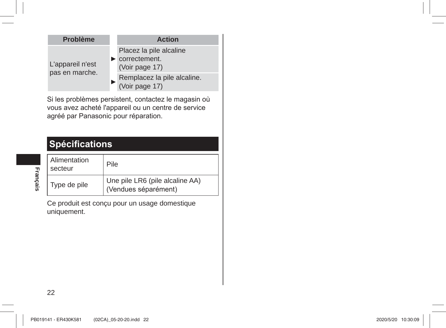| <b>Problème</b>                    | <b>Action</b>                                                                    |
|------------------------------------|----------------------------------------------------------------------------------|
| L'appareil n'est<br>pas en marche. | Placez la pile alcaline<br>$\blacktriangleright$ correctement.<br>(Voir page 17) |
|                                    | Remplacez la pile alcaline.<br>(Voir page 17)                                    |

Si les problèmes persistent, contactez le magasin où vous avez acheté l'appareil ou un centre de service agréé par Panasonic pour réparation.

## **Spécifications**

| Alimentation<br>secteur | Pile                                                    |
|-------------------------|---------------------------------------------------------|
| Type de pile            | Une pile LR6 (pile alcaline AA)<br>(Vendues séparément) |

Ce produit est conçu pour un usage domestique uniquement.

**Français**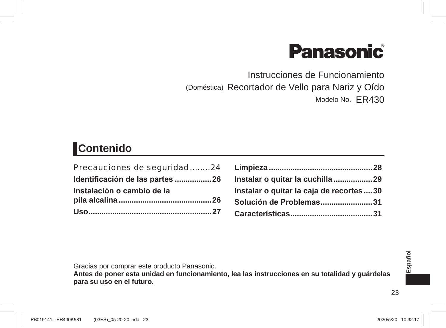# **Panasonic**

Instrucciones de Funcionamiento (Doméstica) Recortador de Vello para Nariz y Oído Modelo No. ER430

## Contenido

| Precauciones de seguridad24     |  |
|---------------------------------|--|
| Identificación de las partes 26 |  |
| Instalación o cambio de la      |  |
|                                 |  |
|                                 |  |

| Instalar o quitar la cuchilla 29          |  |
|-------------------------------------------|--|
| Instalar o quitar la caja de recortes  30 |  |
| Solución de Problemas31                   |  |
|                                           |  |
|                                           |  |

Gracias por comprar este producto Panasonic.

Antes de poner esta unidad en funcionamiento, lea las instrucciones en su totalidad y guárdelas para su uso en el futuro.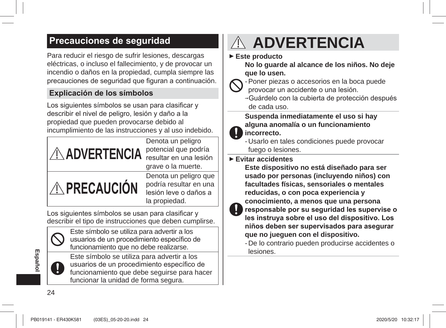### **Precauciones de sequridad**

Para reducir el riesgo de sufrir lesiones, descargas eléctricas, o incluso el fallecimiento, y de provocar un incendio o daños en la propiedad, cumpla siempre las precauciones de seguridad que figuran a continuación.

#### **Explicación de los símbolos**

Los siguientes símbolos se usan para clasificar y describir el nivel de peligro, lesión y daño a la propiedad que pueden provocarse debido al incumplimiento de las instrucciones y al uso indebido.



Los siquientes símbolos se usan para clasificar y describir el tipo de instrucciones que deben cumplirse.



Este símbolo se utiliza para advertir a los usuarios de un procedimiento específico de funcionamiento que no debe realizarse.

Este símbolo se utiliza para advertir a los usuarios de un procedimiento específico de funcionamiento que debe seguirse para hacer funcionar la unidad de forma segura.

## **ADVERTENCIA**

 **Este producto**

**No lo guarde al alcance de los niños. No deje que lo usen.**

- Poner piezas o accesorios en la boca puede provocar un accidente o una lesión.
	- → Guárdelo con la cubierta de protección después de cada uso.

**Suspenda inmediatamente el uso si hay alguna anomalía o un funcionamiento incorrecto.**

- Usarlo en tales condiciones puede provocar fuego o lesiones.
- **Evitar accidentes**

**Este dispositivo no está diseñado para ser usado por personas (incluyendo niños) con facultades físicas, sensoriales o mentales reducidas, o con poca experiencia y conocimiento, a menos que una persona**  responsable por su seguridad les supervise o les instruya sobre el uso del dispositivo. Los

niños deben ser supervisados para asegurar **que no jueguen con el dispositivo.**

- De lo contrario pueden producirse accidentes o lesiones.

**Español**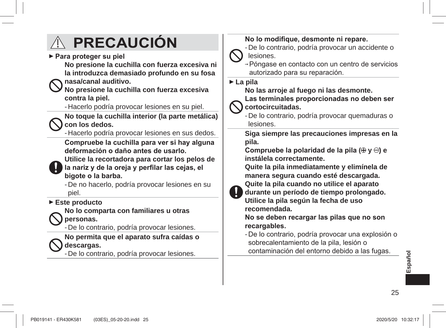## **PRECAUCIÓN**

**Para proteger su piel** 

**No presione la cuchilla con fuerza excesiva ni la introduzca demasiado profundo en su fosa nasa/canal auditivo.**

**No presione la cuchilla con fuerza excesiva contra la piel.**

- Hacerlo podría provocar lesiones en su piel.

**No toque la cuchilla interior (la parte metálica) con los dedos.**

- Hacerlo podría provocar lesiones en sus dedos.

Compruebe la cuchilla para ver si hay alguna deformación o daño antes de usarlo.

**Utilice la recortadora para cortar los pelos de**  la nariz y de la oreja y perfilar las cejas, el bigote o la barba.

- De no hacerlo, podría provocar lesiones en su piel.

#### **Este producto**

**No lo comparta con familiares u otras personas.**

- De lo contrario, podría provocar lesiones.

**No permita que el aparato sufra caídas o descargas.**

- De lo contrario, podría provocar lesiones.

#### No lo modifique, desmonte ni repare.

- De lo contrario, podría provocar un accidente o lesiones.

→ Póngase en contacto con un centro de servicios autorizado para su reparación.

 **La pila**

#### **No las arroje al fuego ni las desmonte.**

Las terminales proporcionadas no deben ser **cortocircuitadas.**

- De lo contrario, podría provocar quemaduras o lesiones.

**Siga siempre las precauciones impresas en la pila.**

Compruebe la polaridad de la pila  $(\oplus \vee \ominus)$  e **instálela correctamente.**

**Quite la pila inmediatamente y elimínela de manera segura cuando esté descargada.**



**Quite la pila cuando no utilice el aparato durante un período de tiempo prolongado.**

**Utilice la pila según la fecha de uso recomendada.**

No se deben recargar las pilas que no son recargables.

- De lo contrario, podría provocar una explosión o sobrecalentamiento de la pila. lesión o contaminación del entorno debido a las fugas.

**Español**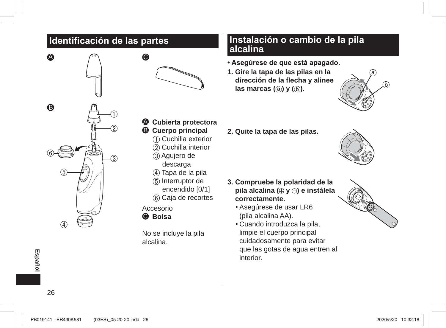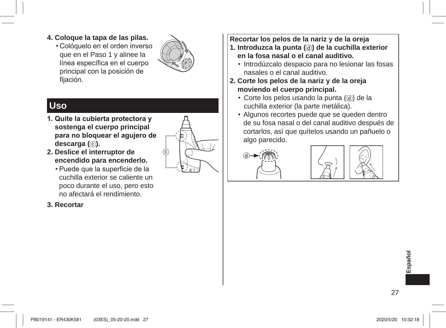- **4. Coloque la tapa de las pilas.**
	- . Cológuelo en el orden inverso que en el Paso 1 y alinee la línea específica en el cuerpo principal con la posición de fijación.



## **Uso**

1. Quite la cubierta protectora y **sostenga el cuerpo principal**  para no bloquear el agujero de descarga ( $\circ$ ).



- **2. Deslice el interruptor de encendido para encenderlo.**
	- Puede que la superficie de la cuchilla exterior se caliente un poco durante el uso, pero esto no afectará el rendimiento.

#### **3. Recortar**

**Recortar los pelos de la nariz y de la oreja**

- **1. Introduzca la punta ( ) de la cuchilla exterior en la fosa nasal o el canal auditivo.** 
	- Introdúzcalo despacio para no lesionar las fosas nasales o el canal auditivo.
- **2. Corte los pelos de la nariz y de la oreja moviendo el cuerpo principal.** 
	- $\cdot$  Corte los pelos usando la punta ( $(d)$ ) de la cuchilla exterior (la parte metálica).
	- Algunos recortes puede que se queden dentro de su fosa nasal o del canal auditivo después de cortarlos, así que quítelos usando un pañuelo o algo parecido.





**Español**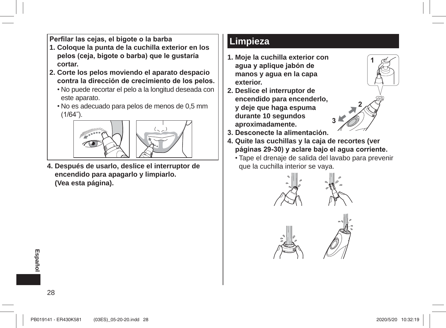Perfilar las cejas, el bigote o la barba

- **1. Coloque la punta de la cuchilla exterior en los**  pelos (ceja, bigote o barba) que le qustaría **cortar.**
- **2. Corte los pelos moviendo el aparato despacio**  contra la dirección de crecimiento de los pelos.
	- No puede recortar el pelo a la longitud deseada con este aparato.
	- No es adecuado para pelos de menos de 0,5 mm  $(1/64)$ .



**4. Después de usarlo, deslice el interruptor de encendido para apagarlo y limpiarlo. (Vea esta página).**

### **Limpieza**

- **1. Moje la cuchilla exterior con**  agua y aplique jabón de **manos y agua en la capa exterior.**
- **2. Deslice el interruptor de encendido para encenderlo, y deje que haga espuma durante 10 segundos aproximadamente.**
- 3. Desconecte la alimentación.
- **4. Quite las cuchillas y la caja de recortes (ver**  páginas 29-30) y aclare bajo el agua corriente.
	- Tape el drenaje de salida del lavabo para prevenir que la cuchilla interior se vaya.

**3**

**1**







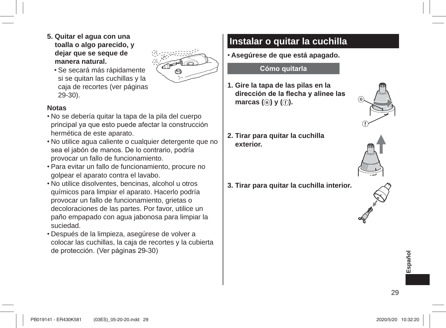**5. Quitar el agua con una toalla o algo parecido, y dejar que se seque de manera natural.**



Se secará más rápidamente si se quitan las cuchillas y la caja de recortes (ver páginas 29-30).

#### **Notas**

- No se debería quitar la tapa de la pila del cuerpo principal ya que esto puede afectar la construcción hermética de este aparato.
- No utilice agua caliente o cualquier detergente que no sea el jabón de manos. De lo contrario, podría provocar un fallo de funcionamiento.
- Para evitar un fallo de funcionamiento, procure no golpear el aparato contra el lavabo.
- No utilice disolventes, bencinas, alcohol u otros químicos para limpiar el aparato. Hacerlo podría provocar un fallo de funcionamiento, grietas o decoloraciones de las partes. Por favor, utilice un paño empapado con agua jabonosa para limpiar la suciedad.
- Después de la limpieza, asegúrese de volver a colocar las cuchillas, la caja de recortes y la cubierta de protección. (Ver páginas 29-30)

## **Instalar o quitar la cuchilla**

**Asegúrese de que está apagado.**

#### **Cómo quitarla**

- **1. Gire la tapa de las pilas en la**  dirección de la flecha y alinee las **marcas (e**) **y** (**f**).
- **2. Tirar para quitar la cuchilla exterior.**
- **3. Tirar para quitar la cuchilla interior.**





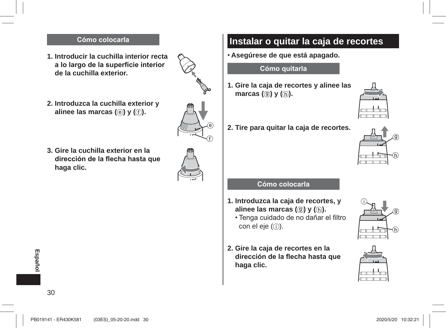#### Cómo colocarla

- **1. Introducir la cuchilla interior recta**  a lo largo de la superficie interior **de la cuchilla exterior.**
- **2. Introduzca la cuchilla exterior y alinee las marcas (** $\circledcirc$ **)** y ( $\circledcirc$ ).
- **3. Gire la cuchilla exterior en la**  dirección de la flecha hasta que **haga clic.**



### **Instalar o quitar la caja de recortes**

**Asegúrese de que está apagado.**

#### **Cómo quitarla**

- **1. Gire la caja de recortes y alinee las marcas (() y** ( $\circ$ ).
- **2. Tire para quitar la caja de recortes.**





#### **Cómo colocarla**

- **1. Introduzca la caja de recortes, y alinee las marcas ((0) y ((h).** 
	- Tenga cuidado de no dañar el filtro con el eje  $($   $)$ ).
- **2. Gire la caja de recortes en la**  dirección de la flecha hasta que **haga clic.**





**Español**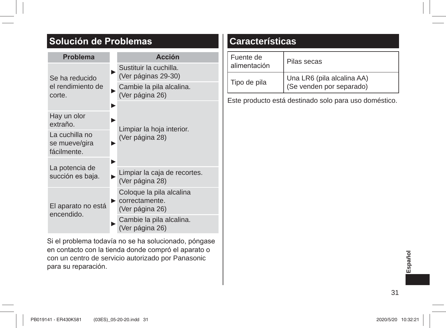## **Solución de Problemas**

| <b>Problema</b>                                | <b>Acción</b>                                   |  |  |
|------------------------------------------------|-------------------------------------------------|--|--|
| Se ha reducido<br>el rendimiento de<br>corte.  | Sustituir la cuchilla.<br>(Ver páginas 29-30)   |  |  |
|                                                | Cambie la pila alcalina.<br>(Ver página 26)     |  |  |
|                                                |                                                 |  |  |
| Hay un olor<br>extraño.                        | Limpiar la hoja interior.                       |  |  |
| La cuchilla no<br>se mueve/gira<br>fácilmente. | (Ver página 28)                                 |  |  |
|                                                |                                                 |  |  |
| La potencia de<br>succión es baja.             | Limpiar la caja de recortes.<br>(Ver página 28) |  |  |
| El aparato no está<br>encendido.               | Coloque la pila alcalina<br>correctamente.      |  |  |
|                                                | (Ver página 26)                                 |  |  |
|                                                | Cambie la pila alcalina.<br>(Ver página 26)     |  |  |

Si el problema todavía no se ha solucionado, póngase en contacto con la tienda donde compró el aparato o con un centro de servicio autorizado por Panasonic para su reparación.

## **Características**

| Fuente de<br>alimentación | Pilas secas                                            |
|---------------------------|--------------------------------------------------------|
| Tipo de pila              | Una LR6 (pila alcalina AA)<br>(Se venden por separado) |

Este producto está destinado solo para uso doméstico.

**Español**